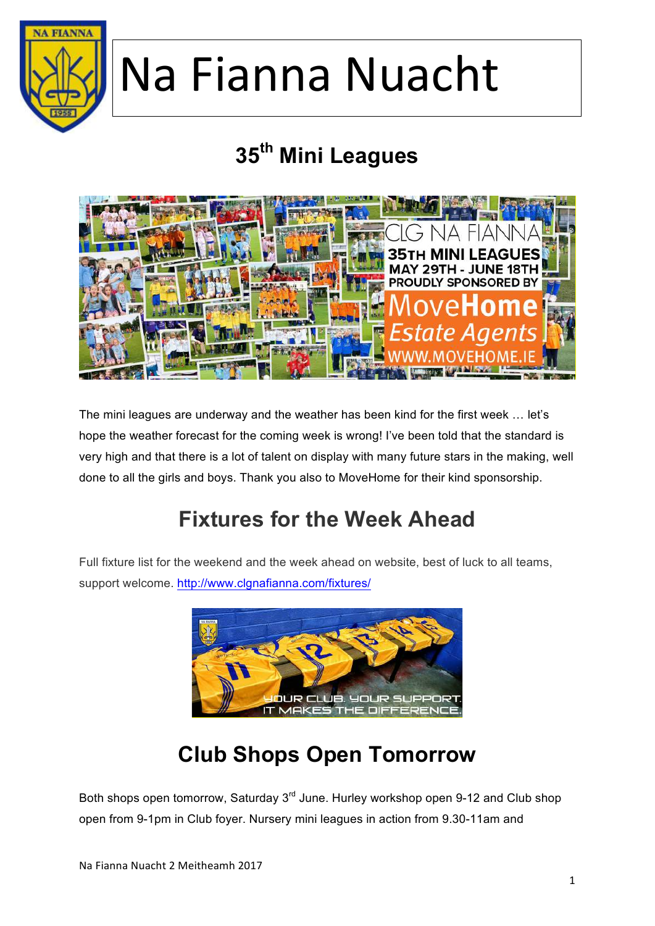

## **35th Mini Leagues**



The mini leagues are underway and the weather has been kind for the first week … let's hope the weather forecast for the coming week is wrong! I've been told that the standard is very high and that there is a lot of talent on display with many future stars in the making, well done to all the girls and boys. Thank you also to MoveHome for their kind sponsorship.

## **Fixtures for the Week Ahead**

Full fixture list for the weekend and the week ahead on website, best of luck to all teams, support welcome. http://www.clgnafianna.com/fixtures/



## **Club Shops Open Tomorrow**

Both shops open tomorrow, Saturday 3<sup>rd</sup> June. Hurley workshop open 9-12 and Club shop open from 9-1pm in Club foyer. Nursery mini leagues in action from 9.30-11am and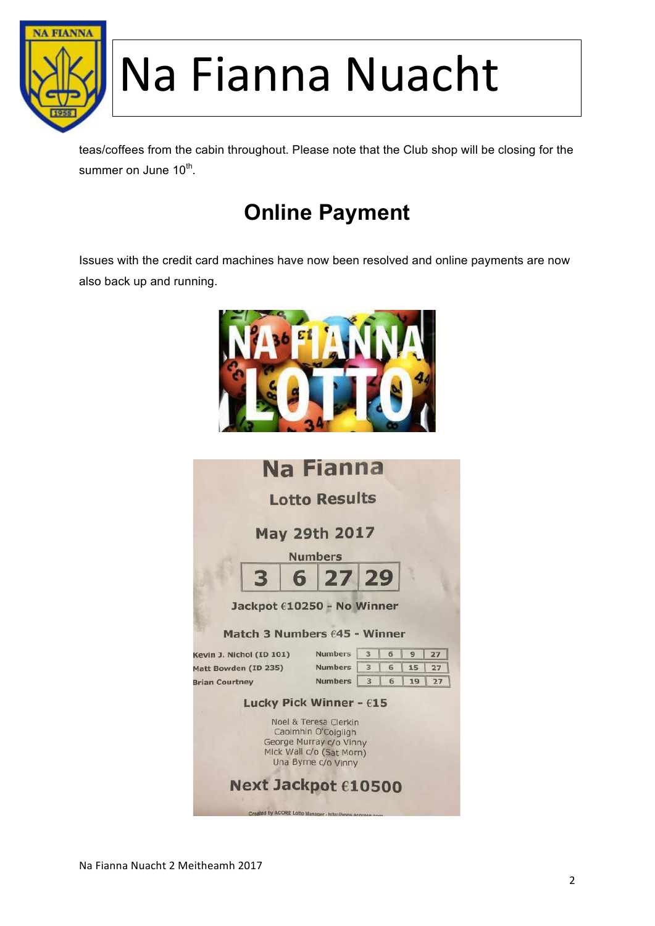

teas/coffees from the cabin throughout. Please note that the Club shop will be closing for the summer on June 10<sup>th</sup>.

## **Online Payment**

Issues with the credit card machines have now been resolved and online payments are now also back up and running.

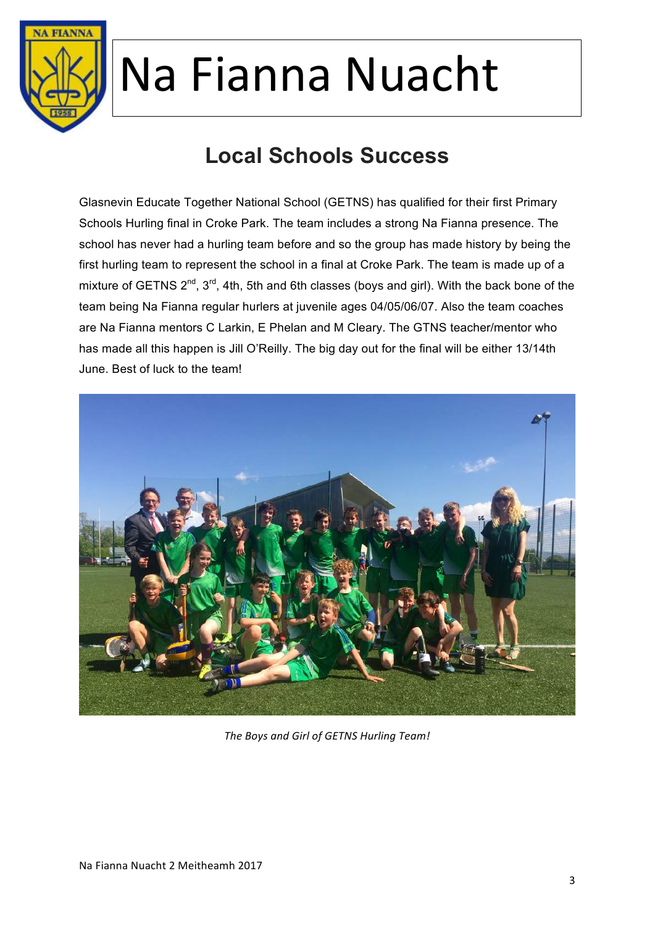

## **Local Schools Success**

Glasnevin Educate Together National School (GETNS) has qualified for their first Primary Schools Hurling final in Croke Park. The team includes a strong Na Fianna presence. The school has never had a hurling team before and so the group has made history by being the first hurling team to represent the school in a final at Croke Park. The team is made up of a mixture of GETNS  $2^{nd}$ ,  $3^{rd}$ , 4th, 5th and 6th classes (boys and girl). With the back bone of the team being Na Fianna regular hurlers at juvenile ages 04/05/06/07. Also the team coaches are Na Fianna mentors C Larkin, E Phelan and M Cleary. The GTNS teacher/mentor who has made all this happen is Jill O'Reilly. The big day out for the final will be either 13/14th June. Best of luck to the team!



The Boys and Girl of GETNS Hurling Team!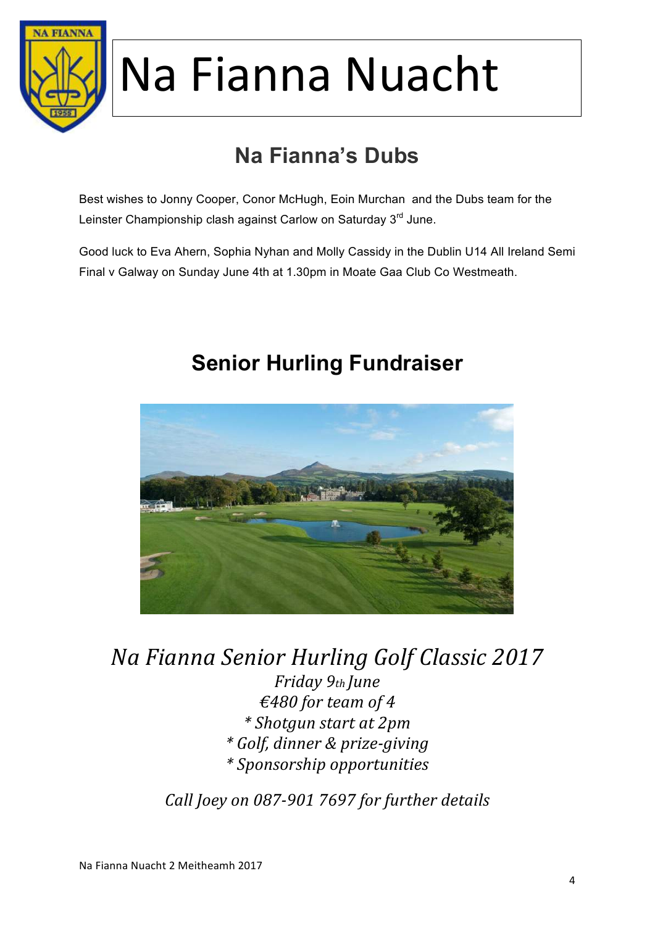

## **Na Fianna's Dubs**

Best wishes to Jonny Cooper, Conor McHugh, Eoin Murchan and the Dubs team for the Leinster Championship clash against Carlow on Saturday 3<sup>rd</sup> June.

Good luck to Eva Ahern, Sophia Nyhan and Molly Cassidy in the Dublin U14 All Ireland Semi Final v Galway on Sunday June 4th at 1.30pm in Moate Gaa Club Co Westmeath.

### **Senior Hurling Fundraiser**



*Na Fianna Senior Hurling Golf Classic 2017 Friday 9th June €480 for team of 4 \* Shotgun start at 2pm \* Golf, dinner & prize-giving \* Sponsorship opportunities*

*Call Joey on 087-901 7697 for further details*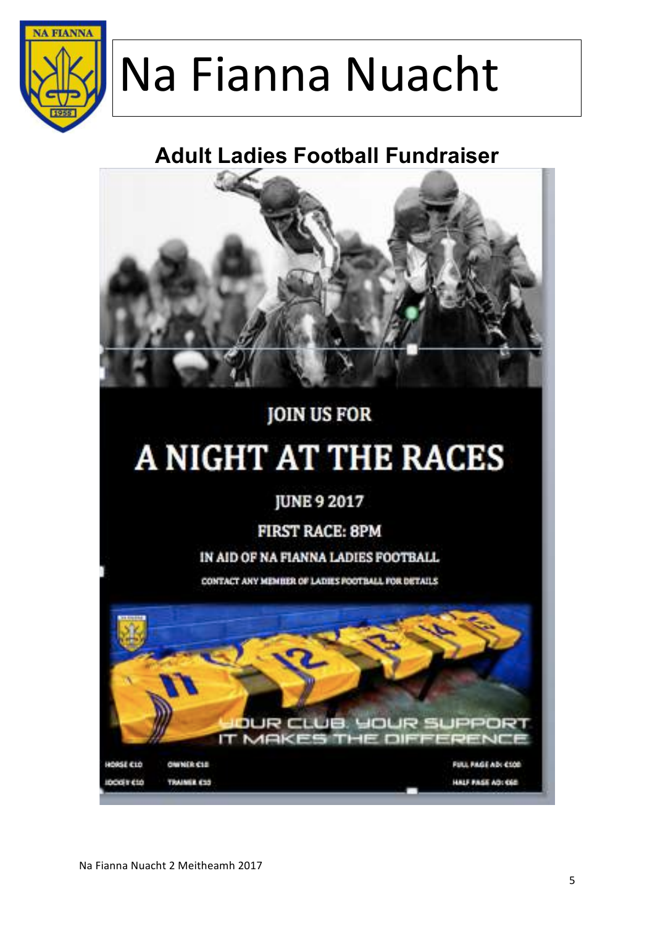

## **Adult Ladies Football Fundraiser**



### **JOIN US FOR**

## A NIGHT AT THE RACES

#### **JUNE 9 2017**

#### **FIRST RACE: 8PM**

#### IN AID OF NA FIANNA LADIES FOOTBALL

CONTACT ANY MEMBER OF LADIES FOOTBALL FOR DETAILS

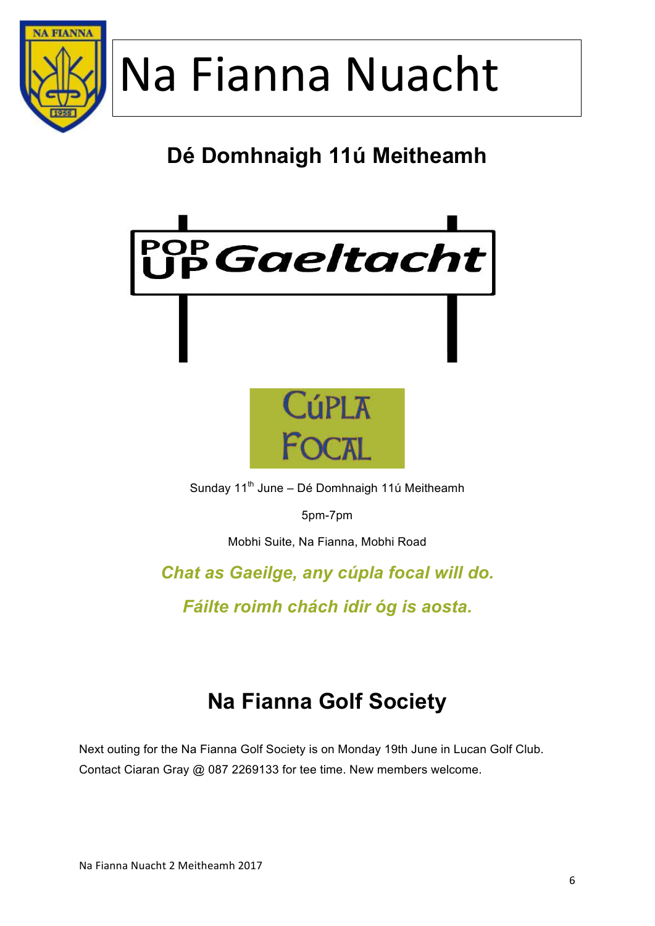

**Dé Domhnaigh 11ú Meitheamh**





Sunday 11<sup>th</sup> June – Dé Domhnaigh 11ú Meitheamh

5pm-7pm

Mobhi Suite, Na Fianna, Mobhi Road

*Chat as Gaeilge, any cúpla focal will do.* 

*Fáilte roimh chách idir óg is aosta.*

### **Na Fianna Golf Society**

Next outing for the Na Fianna Golf Society is on Monday 19th June in Lucan Golf Club. Contact Ciaran Gray @ 087 2269133 for tee time. New members welcome.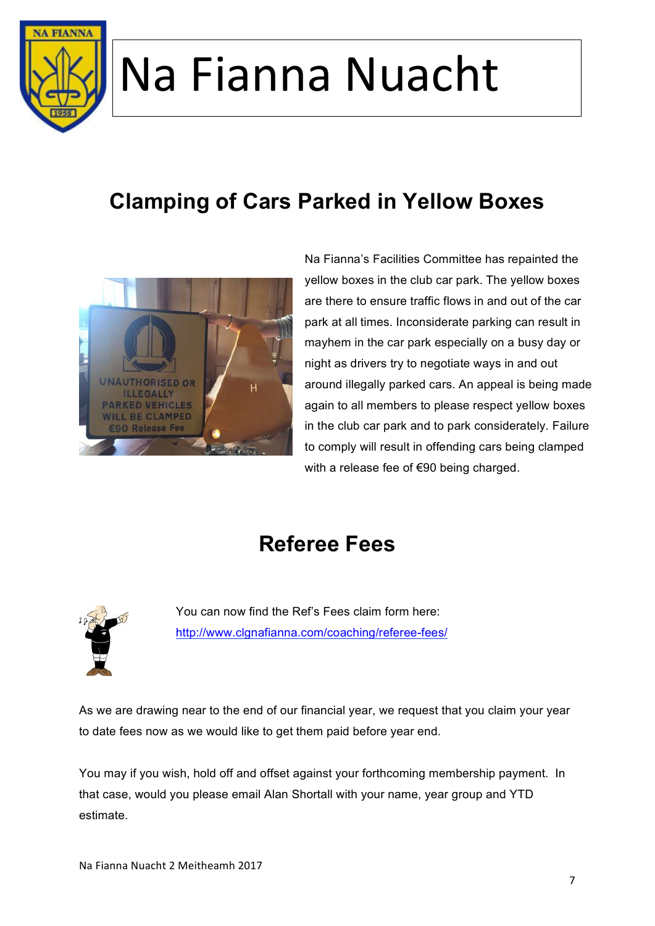

## **Clamping of Cars Parked in Yellow Boxes**



Na Fianna's Facilities Committee has repainted the yellow boxes in the club car park. The yellow boxes are there to ensure traffic flows in and out of the car park at all times. Inconsiderate parking can result in mayhem in the car park especially on a busy day or night as drivers try to negotiate ways in and out around illegally parked cars. An appeal is being made again to all members to please respect yellow boxes in the club car park and to park considerately. Failure to comply will result in offending cars being clamped with a release fee of €90 being charged.

### **Referee Fees**



You can now find the Ref's Fees claim form here: http://www.clgnafianna.com/coaching/referee-fees/

As we are drawing near to the end of our financial year, we request that you claim your year to date fees now as we would like to get them paid before year end.

You may if you wish, hold off and offset against your forthcoming membership payment. In that case, would you please email Alan Shortall with your name, year group and YTD estimate.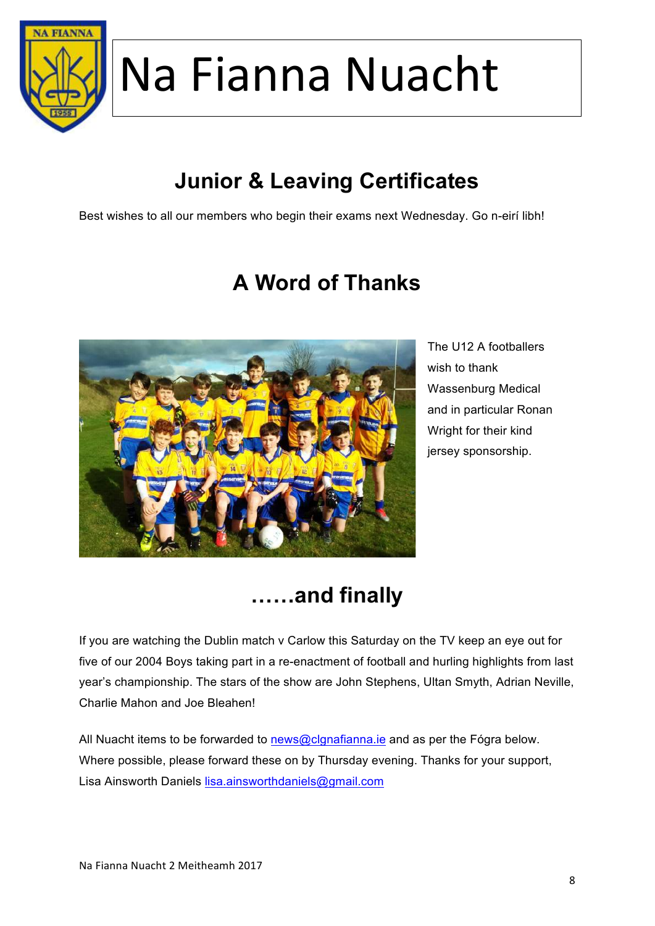

## **Junior & Leaving Certificates**

Best wishes to all our members who begin their exams next Wednesday. Go n-eirí libh!

### **A Word of Thanks**



The U12 A footballers wish to thank Wassenburg Medical and in particular Ronan Wright for their kind jersey sponsorship.

## **……and finally**

If you are watching the Dublin match v Carlow this Saturday on the TV keep an eye out for five of our 2004 Boys taking part in a re-enactment of football and hurling highlights from last year's championship. The stars of the show are John Stephens, Ultan Smyth, Adrian Neville, Charlie Mahon and Joe Bleahen!

All Nuacht items to be forwarded to news@clgnafianna.ie and as per the Fógra below. Where possible, please forward these on by Thursday evening. Thanks for your support, Lisa Ainsworth Daniels lisa.ainsworthdaniels@gmail.com